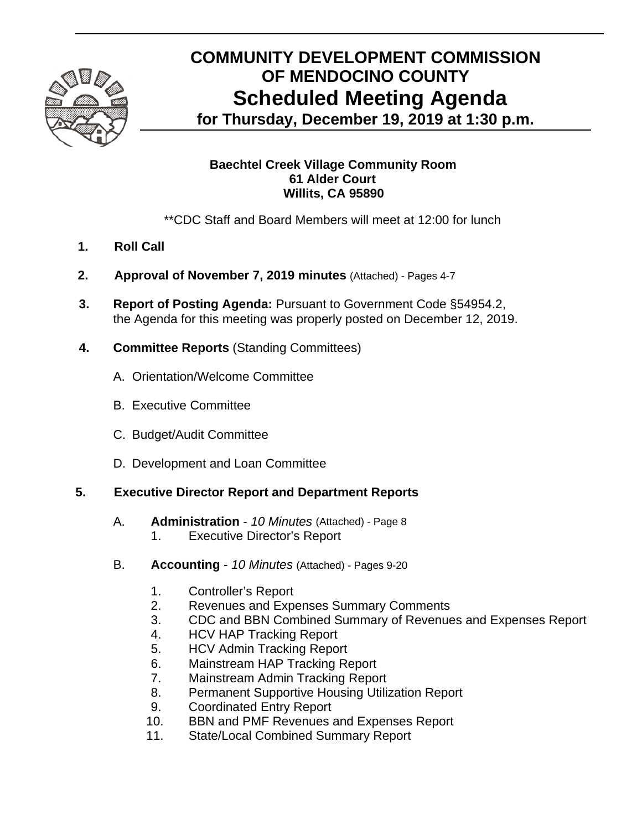

# **COMMUNITY DEVELOPMENT COMMISSION OF MENDOCINO COUNTY Scheduled Meeting Agenda**

**for Thursday, December 19, 2019 at 1:30 p.m.** 

### **Baechtel Creek Village Community Room 61 Alder Court Willits, CA 95890**

\*\*CDC Staff and Board Members will meet at 12:00 for lunch

- **1. Roll Call**
- **2. Approval of November 7, 2019 minutes** (Attached) Pages 4-7
- **3. Report of Posting Agenda:** Pursuant to Government Code §54954.2, the Agenda for this meeting was properly posted on December 12, 2019.
- **4. Committee Reports** (Standing Committees)
	- A.Orientation/Welcome Committee
	- B. Executive Committee
	- C. Budget/Audit Committee
	- D. Development and Loan Committee

#### **5. Executive Director Report and Department Reports**

- A. **Administration** *10 Minutes* (Attached) Page 8
	- 1. Executive Director's Report
- B. **Accounting** *10 Minutes* (Attached) Pages 9-20
	- 1. Controller's Report
	- 2. Revenues and Expenses Summary Comments
	- 3. CDC and BBN Combined Summary of Revenues and Expenses Report
	- 4. HCV HAP Tracking Report
	- 5. HCV Admin Tracking Report
	- 6. Mainstream HAP Tracking Report
	- 7. Mainstream Admin Tracking Report
	- 8. Permanent Supportive Housing Utilization Report
	- 9. Coordinated Entry Report
	- 10. BBN and PMF Revenues and Expenses Report
	- 11. State/Local Combined Summary Report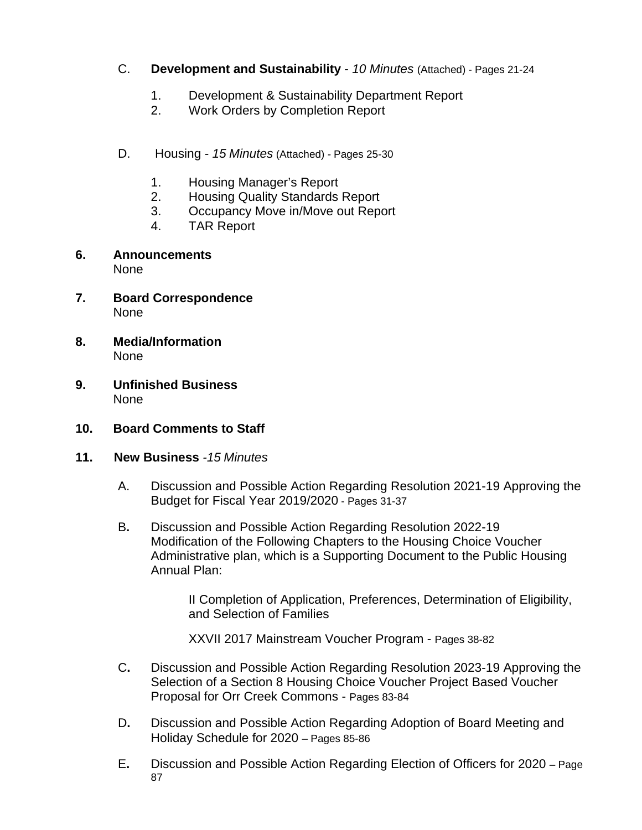- C. **Development and Sustainability** *10 Minutes* (Attached) Pages 21-24
	- 1. Development & Sustainability Department Report
	- 2. Work Orders by Completion Report
- D. Housing *15 Minutes* (Attached) *-* Pages 25-30
	- 1. Housing Manager's Report
	- 2. Housing Quality Standards Report
	- 3. Occupancy Move in/Move out Report
	- 4. TAR Report
- **6. Announcements**  None
- **7. Board Correspondence**  None
- **8. Media/Information**  None
- **9. Unfinished Business**  None
- **10. Board Comments to Staff**
- **11. New Business** *-15 Minutes* 
	- A. Discussion and Possible Action Regarding Resolution 2021-19 Approving the Budget for Fiscal Year 2019/2020 - Pages 31-37
	- B**.** Discussion and Possible Action Regarding Resolution 2022-19 Modification of the Following Chapters to the Housing Choice Voucher Administrative plan, which is a Supporting Document to the Public Housing Annual Plan:

II Completion of Application, Preferences, Determination of Eligibility, and Selection of Families

XXVII 2017 Mainstream Voucher Program - Pages 38-82

- C**.** Discussion and Possible Action Regarding Resolution 2023-19 Approving the Selection of a Section 8 Housing Choice Voucher Project Based Voucher Proposal for Orr Creek Commons - Pages 83-84
- D**.** Discussion and Possible Action Regarding Adoption of Board Meeting and Holiday Schedule for 2020 – Pages 85-86
- E**.** Discussion and Possible Action Regarding Election of Officers for 2020 Page 87